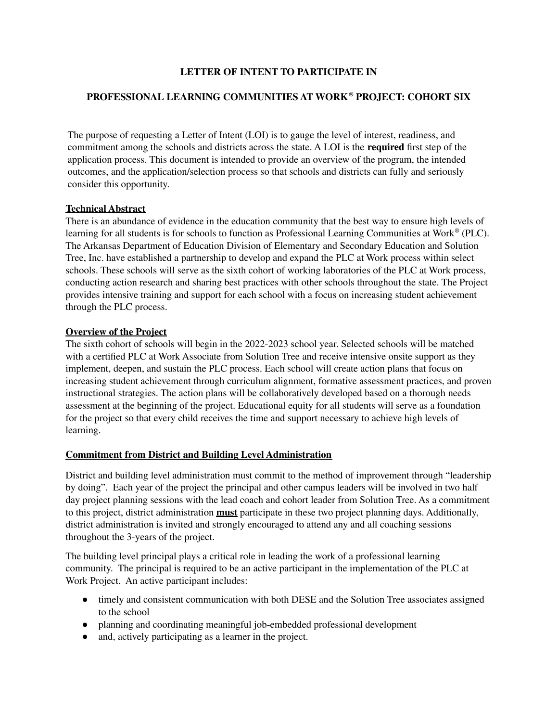## **LETTER OF INTENT TO PARTICIPATE IN**

# **PROFESSIONAL LEARNING COMMUNITIES AT WORK ® PROJECT: COHORT SIX**

The purpose of requesting a Letter of Intent (LOI) is to gauge the level of interest, readiness, and commitment among the schools and districts across the state. A LOI is the **required** first step of the application process. This document is intended to provide an overview of the program, the intended outcomes, and the application/selection process so that schools and districts can fully and seriously consider this opportunity.

#### **Technical Abstract**

There is an abundance of evidence in the education community that the best way to ensure high levels of learning for all students is for schools to function as Professional Learning Communities at Work ® (PLC). The Arkansas Department of Education Division of Elementary and Secondary Education and Solution Tree, Inc. have established a partnership to develop and expand the PLC at Work process within select schools. These schools will serve as the sixth cohort of working laboratories of the PLC at Work process, conducting action research and sharing best practices with other schools throughout the state. The Project provides intensive training and support for each school with a focus on increasing student achievement through the PLC process.

#### **Overview of the Project**

The sixth cohort of schools will begin in the 2022-2023 school year. Selected schools will be matched with a certified PLC at Work Associate from Solution Tree and receive intensive onsite support as they implement, deepen, and sustain the PLC process. Each school will create action plans that focus on increasing student achievement through curriculum alignment, formative assessment practices, and proven instructional strategies. The action plans will be collaboratively developed based on a thorough needs assessment at the beginning of the project. Educational equity for all students will serve as a foundation for the project so that every child receives the time and support necessary to achieve high levels of learning.

#### **Commitment from District and Building Level Administration**

District and building level administration must commit to the method of improvement through "leadership by doing". Each year of the project the principal and other campus leaders will be involved in two half day project planning sessions with the lead coach and cohort leader from Solution Tree. As a commitment to this project, district administration **must** participate in these two project planning days. Additionally, district administration is invited and strongly encouraged to attend any and all coaching sessions throughout the 3-years of the project.

The building level principal plays a critical role in leading the work of a professional learning community. The principal is required to be an active participant in the implementation of the PLC at Work Project. An active participant includes:

- timely and consistent communication with both DESE and the Solution Tree associates assigned to the school
- planning and coordinating meaningful job-embedded professional development
- and, actively participating as a learner in the project.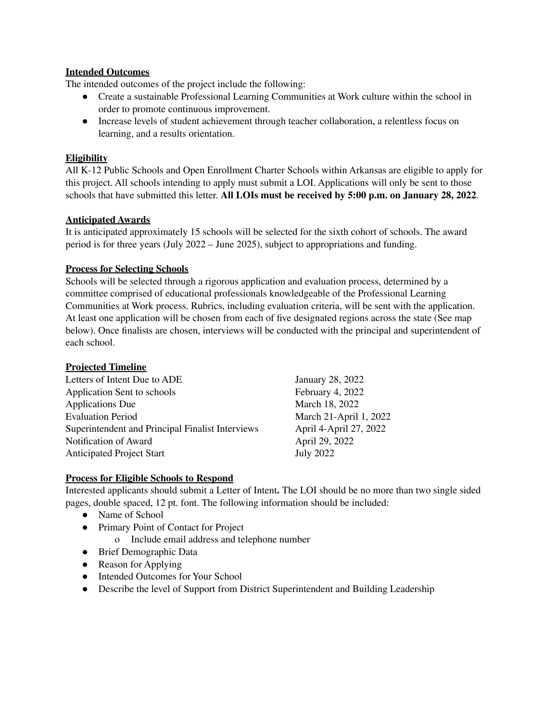## **Intended Outcomes**

The intended outcomes of the project include the following:

- Create a sustainable Professional Learning Communities at Work culture within the school in order to promote continuous improvement.
- Increase levels of student achievement through teacher collaboration, a relentless focus on learning, and a results orientation.

## **Eligibility**

All K-12 Public Schools and Open Enrollment Charter Schools within Arkansas are eligible to apply for this project. All schools intending to apply must submit a LOI. Applications will only be sent to those schools that have submitted this letter. **All LOIs must be received by 5:00 p.m. on January 28, 2022**.

## **Anticipated Awards**

It is anticipated approximately 15 schools will be selected for the sixth cohort of schools. The award period is for three years (July 2022 – June 2025), subject to appropriations and funding.

## **Process for Selecting Schools**

Schools will be selected through a rigorous application and evaluation process, determined by a committee comprised of educational professionals knowledgeable of the Professional Learning Communities at Work process. Rubrics, including evaluation criteria, will be sent with the application. At least one application will be chosen from each of five designated regions across the state (See map below). Once finalists are chosen, interviews will be conducted with the principal and superintendent of each school.

#### **Projected Timeline**

Letters of Intent Due to ADE January 28, 2022<br>Application Sent to schools February 4, 2022 Application Sent to schools Applications Due March 18, 2022 Evaluation Period March 21-April 1, 2022 Superintendent and Principal Finalist Interviews April 4-April 27, 2022 Notification of Award April 29, 2022 Anticipated Project Start July 2022

# **Process for Eligible Schools to Respond**

Interested applicants should submit a Letter of Intent**.** The LOI should be no more than two single sided pages, double spaced, 12 pt. font. The following information should be included:

- Name of School
- Primary Point of Contact for Project
	- o Include email address and telephone number
- Brief Demographic Data
- Reason for Applying
- Intended Outcomes for Your School
- Describe the level of Support from District Superintendent and Building Leadership